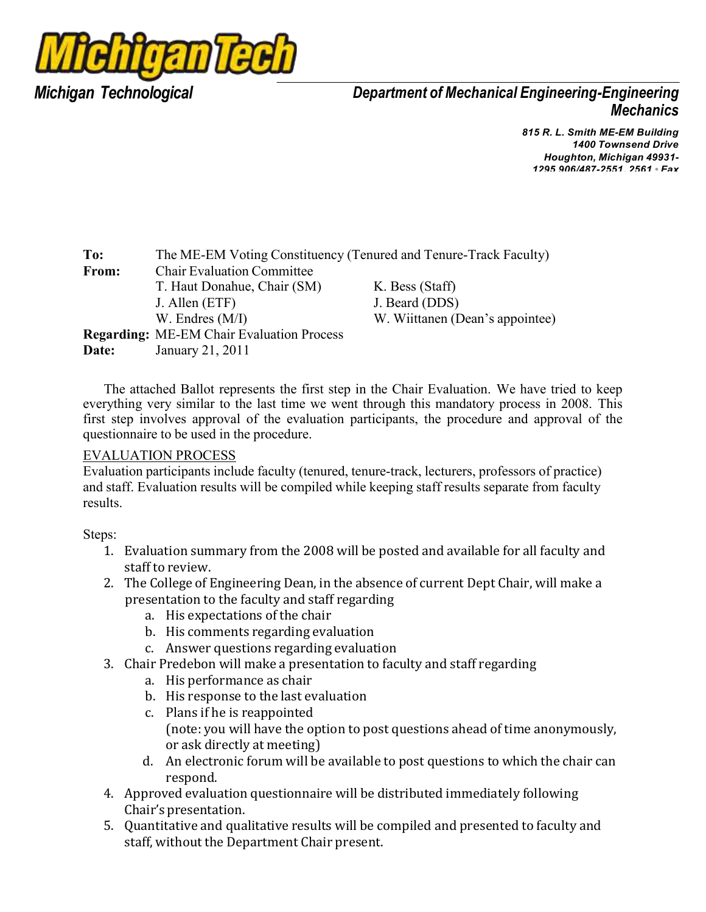

*Department of Mechanical Engineering-Engineering Mechanics*

> *R. L. Smith ME-EM Building Townsend Drive Houghton, Michigan 49931- 906/487-2551, 2561 • Fax*

| To:   | The ME-EM Voting Constituency (Tenured and Tenure-Track Faculty) |                                 |  |  |  |  |  |  |  |
|-------|------------------------------------------------------------------|---------------------------------|--|--|--|--|--|--|--|
| From: | <b>Chair Evaluation Committee</b>                                |                                 |  |  |  |  |  |  |  |
|       | T. Haut Donahue, Chair (SM)                                      | K. Bess (Staff)                 |  |  |  |  |  |  |  |
|       | J. Allen (ETF)                                                   | J. Beard (DDS)                  |  |  |  |  |  |  |  |
|       | W. Endres $(M/I)$                                                | W. Wiittanen (Dean's appointee) |  |  |  |  |  |  |  |
|       | <b>Regarding:</b> ME-EM Chair Evaluation Process                 |                                 |  |  |  |  |  |  |  |
| Date: | January 21, 2011                                                 |                                 |  |  |  |  |  |  |  |

The attached Ballot represents the first step in the Chair Evaluation. We have tried to keep everything very similar to the last time we went through this mandatory process in 2008. This first step involves approval of the evaluation participants, the procedure and approval of the questionnaire to be used in the procedure.

#### EVALUATION PROCESS

Evaluation participants include faculty (tenured, tenure-track, lecturers, professors of practice) and staff. Evaluation results will be compiled while keeping staff results separate from faculty results.

Steps:

- 1. Evaluation summary from the 2008 will be posted and available for all faculty and staff to review.
- 2. The College of Engineering Dean, in the absence of current Dept Chair, will make a presentation to the faculty and staff regarding
	- a. His expectations of the chair
	- b. His comments regarding evaluation
	- c. Answer questions regarding evaluation
- 3. Chair Predebon will make a presentation to faculty and staff regarding
	- a. His performance as chair
	- b. His response to the last evaluation
	- c. Plans if he is reappointed (note: you will have the option to post questions ahead of time anonymously, or ask directly at meeting)
	- d. An electronic forum will be available to post questions to which the chair can respond.
- 4. Approved evaluation questionnaire will be distributed immediately following Chair's presentation.
- 5. Quantitative and qualitative results will be compiled and presented to faculty and staff, without the Department Chair present.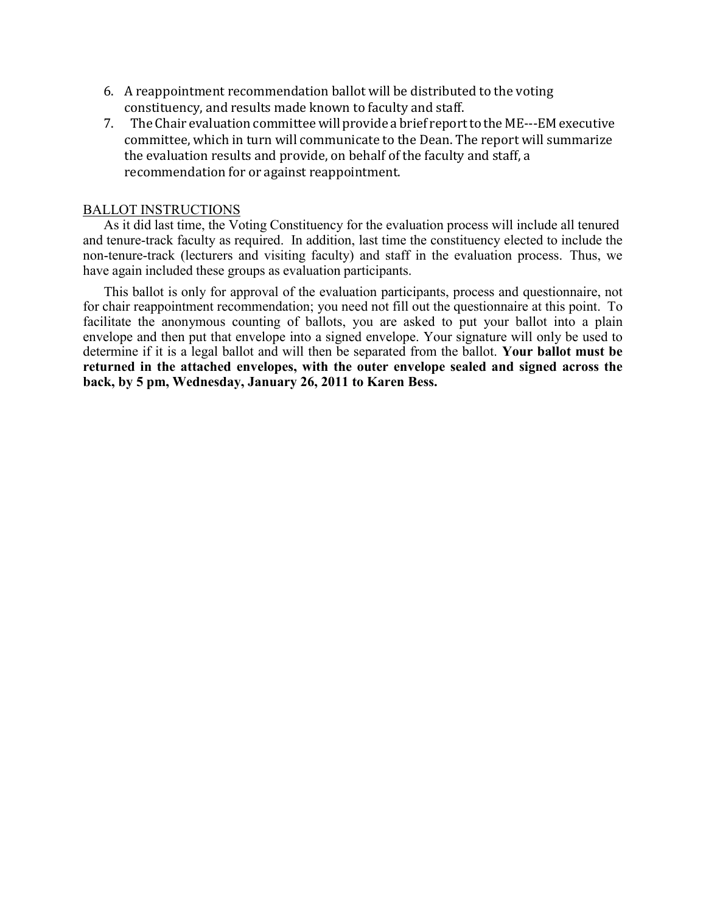- 6. A reappointment recommendation ballot will be distributed to the voting constituency, and results made known to faculty and staff.
- 7. The Chair evaluation committee will provide a brief report to the ME--‐EM executive committee, which in turn will communicate to the Dean. The report will summarize the evaluation results and provide, on behalf of the faculty and staff, a recommendation for or against reappointment.

#### BALLOT INSTRUCTIONS

As it did last time, the Voting Constituency for the evaluation process will include all tenured and tenure-track faculty as required. In addition, last time the constituency elected to include the non-tenure-track (lecturers and visiting faculty) and staff in the evaluation process. Thus, we have again included these groups as evaluation participants.

This ballot is only for approval of the evaluation participants, process and questionnaire, not for chair reappointment recommendation; you need not fill out the questionnaire at this point. To facilitate the anonymous counting of ballots, you are asked to put your ballot into a plain envelope and then put that envelope into a signed envelope. Your signature will only be used to determine if it is a legal ballot and will then be separated from the ballot. **Your ballot must be returned in the attached envelopes, with the outer envelope sealed and signed across the back, by 5 pm, Wednesday, January 26, 2011 to Karen Bess.**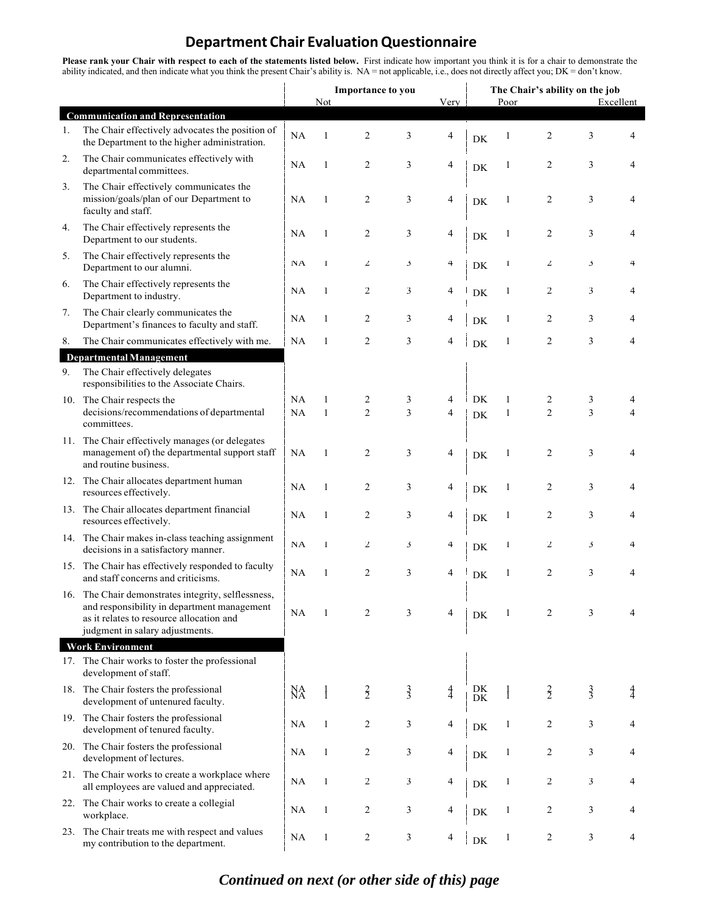## **Department Chair Evaluation Questionnaire**

**Please rank your Chair with respect to each of the statements listed below.** First indicate how important you think it is for a chair to demonstrate the ability indicated, and then indicate what you think the present Chair's ability is. NA = not applicable, i.e., does not directly affect you; DK = don't know.

|                                |                                                                                                                                                                                   | Importance to you |               |                |               |               | The Chair's ability on the job |              |                         |               |           |
|--------------------------------|-----------------------------------------------------------------------------------------------------------------------------------------------------------------------------------|-------------------|---------------|----------------|---------------|---------------|--------------------------------|--------------|-------------------------|---------------|-----------|
|                                | <b>Communication and Representation</b>                                                                                                                                           |                   | Not           |                |               | Very          |                                | Poor         |                         |               | Excellent |
| 1.                             | The Chair effectively advocates the position of<br>the Department to the higher administration.                                                                                   | <b>NA</b>         | 1             | $\overline{c}$ | 3             | 4             | DK                             | 1            | $\overline{c}$          | 3             | 4         |
| 2.                             | The Chair communicates effectively with<br>departmental committees.                                                                                                               | NA                | 1             | $\overline{c}$ | 3             | 4             | DK                             | $\mathbf{1}$ | $\overline{c}$          | 3             | 4         |
| 3.                             | The Chair effectively communicates the<br>mission/goals/plan of our Department to<br>faculty and staff.                                                                           | NA                | 1             | $\overline{2}$ | 3             | 4             | DK                             | 1            | $\overline{c}$          | 3             | 4         |
| 4.                             | The Chair effectively represents the<br>Department to our students.                                                                                                               | NA                | 1             | $\overline{2}$ | 3             | 4             | DK                             | 1            | $\overline{c}$          | 3             | 4         |
| 5.                             | The Chair effectively represents the<br>Department to our alumni.                                                                                                                 | NA                | $\mathbf{I}$  | $\mathbf{z}$   | 3             | 4             | DK                             | $\mathbf{I}$ | $\mathbf{z}$            | ć             | 4         |
| 6.                             | The Chair effectively represents the<br>Department to industry.                                                                                                                   | <b>NA</b>         | 1             | $\overline{c}$ | 3             | 4             | DK                             | $\mathbf{1}$ | 2                       | 3             | 4         |
| 7.                             | The Chair clearly communicates the<br>Department's finances to faculty and staff.                                                                                                 | NA                | 1             | $\overline{c}$ | 3             | 4             | DK                             | $\mathbf{1}$ | $\overline{c}$          | 3             | 4         |
| 8.                             | The Chair communicates effectively with me.                                                                                                                                       | <b>NA</b>         | 1             | $\overline{2}$ | 3             | 4             | DK                             | 1            | $\overline{c}$          | 3             | 4         |
| <b>Departmental Management</b> |                                                                                                                                                                                   |                   |               |                |               |               |                                |              |                         |               |           |
| 9.                             | The Chair effectively delegates<br>responsibilities to the Associate Chairs.                                                                                                      |                   |               |                |               |               |                                |              |                         |               |           |
|                                | 10. The Chair respects the                                                                                                                                                        | NA                | 1             | $\overline{c}$ | 3             | 4             | <b>DK</b>                      | $\mathbf{1}$ | 2                       | 3             | 4         |
|                                | decisions/recommendations of departmental<br>committees.                                                                                                                          | NA                | $\mathbf{1}$  | $\overline{2}$ | 3             | 4             | DK                             | $\mathbf{1}$ | $\overline{2}$          | 3             | 4         |
|                                | 11. The Chair effectively manages (or delegates<br>management of) the departmental support staff<br>and routine business.                                                         | NA                | 1             | $\overline{c}$ | 3             | 4             | DK                             | 1            | $\overline{c}$          | 3             | 4         |
|                                | 12. The Chair allocates department human<br>resources effectively.                                                                                                                | NA                | $\mathbf{1}$  | $\overline{c}$ | 3             | 4             | DK                             | 1            | $\overline{c}$          | 3             | 4         |
|                                | 13. The Chair allocates department financial<br>resources effectively.                                                                                                            | NA                | 1             | $\overline{c}$ | 3             | 4             | DK                             | $\mathbf{1}$ | $\overline{c}$          | 3             | 4         |
|                                | 14. The Chair makes in-class teaching assignment<br>decisions in a satisfactory manner.                                                                                           | NA                | $\mathbf{I}$  | $\mathbf{Z}$   | 3             | 4             | DK                             | $\mathbf{I}$ | $\overline{2}$          | 3             | 4         |
|                                | 15. The Chair has effectively responded to faculty<br>and staff concerns and criticisms.                                                                                          | NA                | 1             | $\overline{2}$ | 3             | 4             | DK                             | 1            | $\overline{c}$          | 3             | 4         |
|                                | 16. The Chair demonstrates integrity, selflessness,<br>and responsibility in department management<br>as it relates to resource allocation and<br>judgment in salary adjustments. | <b>NA</b>         |               | 2              | 3             | 4             | DK                             |              | 2                       | 3             |           |
|                                | <b>Work Environment</b>                                                                                                                                                           |                   |               |                |               |               |                                |              |                         |               |           |
|                                | 17. The Chair works to foster the professional<br>development of staff.                                                                                                           |                   |               |                |               |               |                                |              |                         |               |           |
|                                | 18. The Chair fosters the professional<br>development of untenured faculty.                                                                                                       | NA                | $\frac{1}{1}$ | $\frac{2}{2}$  | $\frac{3}{3}$ | $\frac{4}{4}$ | DK<br>${\rm DK}$               |              | $\frac{2}{2}$           | $\frac{3}{3}$ | 4         |
|                                | 19. The Chair fosters the professional<br>development of tenured faculty.                                                                                                         | <b>NA</b>         | $\mathbf{1}$  | $\overline{c}$ | 3             | 4             | ${\rm DK}$                     | 1            | $\overline{c}$          | 3             | 4         |
|                                | 20. The Chair fosters the professional<br>development of lectures.                                                                                                                | <b>NA</b>         | $\mathbf{1}$  | $\overline{c}$ | 3             | 4             | ${\rm DK}$                     | $\mathbf{1}$ | 2                       | 3             | 4         |
|                                | 21. The Chair works to create a workplace where<br>all employees are valued and appreciated.                                                                                      | <b>NA</b>         | 1             | 2              | 3             | 4             | ${\rm DK}$                     | 1            | 2                       | 3             | 4         |
| 22.                            | The Chair works to create a collegial<br>workplace.                                                                                                                               | <b>NA</b>         | $\mathbf{1}$  | $\overline{c}$ | 3             | 4             | ${\rm DK}$                     | 1            | 2                       | 3             | 4         |
| 23.                            | The Chair treats me with respect and values<br>my contribution to the department.                                                                                                 | NA                | $\mathbf{1}$  | 2              | 3             | 4             | ${\rm DK}$                     | $\mathbf{1}$ | $\overline{\mathbf{c}}$ | 3             | 4         |

### *Continued on next (or other side of this) page*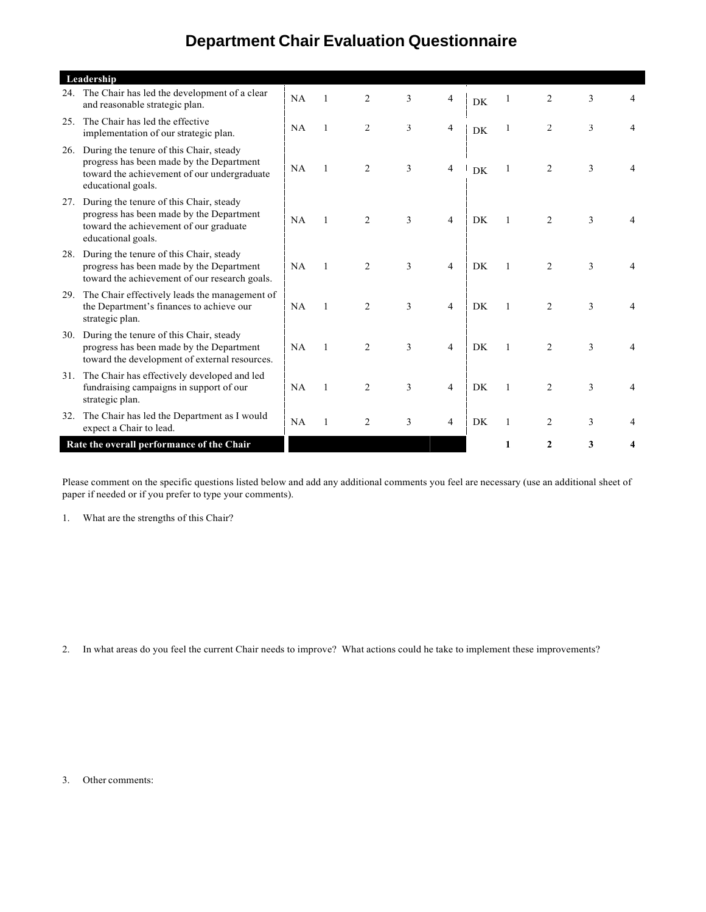# **Department Chair Evaluation Questionnaire**

|     | Leadership                                                                                                                                               |           |                |                |   |                |           |              |                |   |   |
|-----|----------------------------------------------------------------------------------------------------------------------------------------------------------|-----------|----------------|----------------|---|----------------|-----------|--------------|----------------|---|---|
|     | 24. The Chair has led the development of a clear<br>and reasonable strategic plan.                                                                       | NA        |                | $\overline{c}$ | 3 | 4              | DK        |              | 2              | 3 |   |
|     | 25. The Chair has led the effective<br>implementation of our strategic plan.                                                                             | NA        | 1              | 2              | 3 | $\overline{4}$ | <b>DK</b> |              | 2              | 3 |   |
| 26. | During the tenure of this Chair, steady<br>progress has been made by the Department<br>toward the achievement of our undergraduate<br>educational goals. | NA        | 1              | 2              | 3 | 4              | <b>DK</b> |              | $\overline{c}$ | 3 |   |
| 27. | During the tenure of this Chair, steady<br>progress has been made by the Department<br>toward the achievement of our graduate<br>educational goals.      | NA        | $\mathbf{1}$   | 2              | 3 | $\overline{4}$ | DK        | 1            | $\overline{2}$ | 3 |   |
| 28. | During the tenure of this Chair, steady<br>progress has been made by the Department<br>toward the achievement of our research goals.                     | <b>NA</b> | $\mathbf{1}$   | $\overline{c}$ | 3 | $\overline{4}$ | DK        | 1            | 2              | 3 | 4 |
|     | 29. The Chair effectively leads the management of<br>the Department's finances to achieve our<br>strategic plan.                                         | NA        | $\mathbf{1}$   | $\overline{2}$ | 3 | $\overline{4}$ | DK        | $\mathbf{1}$ | 2              | 3 |   |
| 30. | During the tenure of this Chair, steady<br>progress has been made by the Department<br>toward the development of external resources.                     | <b>NA</b> | $\overline{1}$ | $\overline{c}$ | 3 | $\overline{4}$ | <b>DK</b> | 1            | $\overline{2}$ | 3 | 4 |
|     | 31. The Chair has effectively developed and led<br>fundraising campaigns in support of our<br>strategic plan.                                            | <b>NA</b> | 1              | 2              | 3 | 4              | DK.       |              | $\overline{2}$ | 3 |   |
| 32. | The Chair has led the Department as I would<br>expect a Chair to lead.                                                                                   | NA        |                | $\overline{c}$ | 3 | 4              | DK        | 1            | $\overline{c}$ | 3 |   |
|     | Rate the overall performance of the Chair                                                                                                                |           |                |                |   |                |           |              | $\mathbf{2}$   | 3 |   |

Please comment on the specific questions listed below and add any additional comments you feel are necessary (use an additional sheet of paper if needed or if you prefer to type your comments).

1. What are the strengths of this Chair?

2. In what areas do you feel the current Chair needs to improve? What actions could he take to implement these improvements?

3. Other comments: